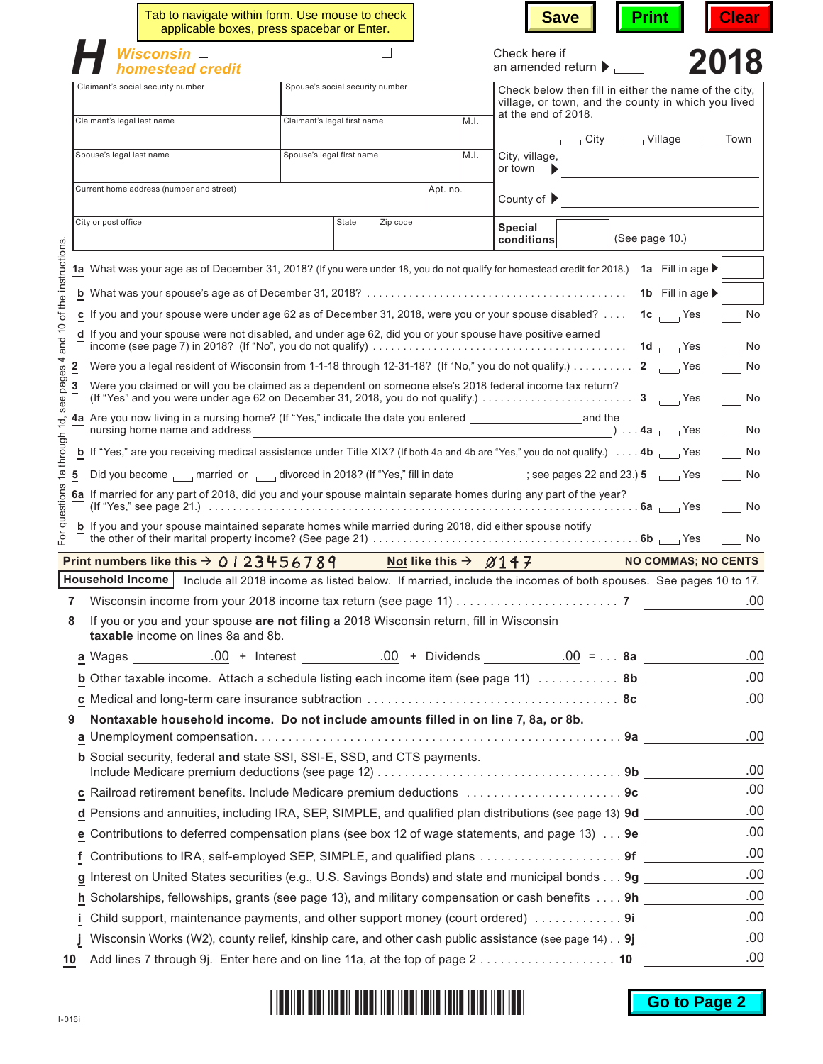|                                        |                                 | Tab to navigate within form. Use mouse to check<br>applicable boxes, press spacebar or Enter.                                                                                                                              |                                   |          |                                                          | <b>Save</b>                                                                                                   | <b>Print</b>               | <b>Clear</b>                |  |  |
|----------------------------------------|---------------------------------|----------------------------------------------------------------------------------------------------------------------------------------------------------------------------------------------------------------------------|-----------------------------------|----------|----------------------------------------------------------|---------------------------------------------------------------------------------------------------------------|----------------------------|-----------------------------|--|--|
|                                        | Wisconsin L<br>homestead credit |                                                                                                                                                                                                                            |                                   |          | Check here if<br>an amended return $\blacktriangleright$ |                                                                                                               | 2018                       |                             |  |  |
|                                        |                                 | Claimant's social security number<br>Spouse's social security number                                                                                                                                                       |                                   |          |                                                          | Check below then fill in either the name of the city.                                                         |                            |                             |  |  |
|                                        | Claimant's legal last name      |                                                                                                                                                                                                                            | Claimant's legal first name       |          | M.I.                                                     | village, or town, and the county in which you lived<br>at the end of 2018.                                    |                            |                             |  |  |
|                                        |                                 |                                                                                                                                                                                                                            |                                   |          |                                                          |                                                                                                               | City _____ Village         | $\sqrt{2}$ Town             |  |  |
|                                        | Spouse's legal last name        |                                                                                                                                                                                                                            | Spouse's legal first name<br>M.I. |          |                                                          | City, village,<br>or town                                                                                     |                            |                             |  |  |
|                                        |                                 | Current home address (number and street)                                                                                                                                                                                   |                                   |          | Apt. no.                                                 | County of $\blacktriangleright$                                                                               |                            |                             |  |  |
|                                        | City or post office             |                                                                                                                                                                                                                            | State                             | Zip code |                                                          | <b>Special</b><br>conditions                                                                                  | (See page 10.)             |                             |  |  |
| of the instructions                    |                                 | 1a What was your age as of December 31, 2018? (If you were under 18, you do not qualify for homestead credit for 2018.) 1a Fill in age ▶                                                                                   |                                   |          |                                                          |                                                                                                               |                            |                             |  |  |
|                                        |                                 |                                                                                                                                                                                                                            |                                   |          |                                                          |                                                                                                               |                            |                             |  |  |
|                                        |                                 |                                                                                                                                                                                                                            |                                   |          |                                                          |                                                                                                               | 1b Fill in age >           |                             |  |  |
|                                        |                                 | c If you and your spouse were under age 62 as of December 31, 2018, were you or your spouse disabled? $\dots$<br>d If you and your spouse were not disabled, and under age 62, did you or your spouse have positive earned |                                   |          |                                                          |                                                                                                               | $1c$ Yes                   | $\overline{\phantom{a}}$ No |  |  |
| and 10                                 |                                 |                                                                                                                                                                                                                            |                                   |          |                                                          |                                                                                                               | 1d $Y$ es                  | ⊤ ⊢No                       |  |  |
| $\overline{2}$                         |                                 |                                                                                                                                                                                                                            |                                   |          |                                                          |                                                                                                               |                            | $\overline{\phantom{0}}$ No |  |  |
| see pages 4<br>$\overline{\mathbf{3}}$ |                                 | Were you claimed or will you be claimed as a dependent on someone else's 2018 federal income tax return?<br>$\sqrt{a}$ No                                                                                                  |                                   |          |                                                          |                                                                                                               |                            |                             |  |  |
|                                        |                                 | $\overline{\phantom{a}}$ ) $\ldots$ 4a $\overline{\phantom{a}}$ Yes<br>nursing home name and address<br>$\overline{1}$ No                                                                                                  |                                   |          |                                                          |                                                                                                               |                            |                             |  |  |
| hrough                                 |                                 | <b>b</b> If "Yes," are you receiving medical assistance under Title XIX? (If both 4a and 4b are "Yes," you do not qualify.) $\dots$ 4b<br>$\overline{\phantom{0}}$ No                                                      |                                   |          |                                                          |                                                                                                               |                            |                             |  |  |
| Φ<br>5                                 |                                 | Did you become narried or divorced in 2018? (If "Yes," fill in date ____________; see pages 22 and 23.) 5 _____ Yes<br>$\overline{\phantom{a}}$ No                                                                         |                                   |          |                                                          |                                                                                                               |                            |                             |  |  |
| stions                                 |                                 | 6a If married for any part of 2018, did you and your spouse maintain separate homes during any part of the year?<br>$\overline{1}$ No                                                                                      |                                   |          |                                                          |                                                                                                               |                            |                             |  |  |
| änb                                    |                                 | <b>b</b> If you and your spouse maintained separate homes while married during 2018, did either spouse notify                                                                                                              |                                   |          |                                                          |                                                                                                               |                            |                             |  |  |
|                                        |                                 |                                                                                                                                                                                                                            |                                   |          |                                                          |                                                                                                               |                            | ,  No                       |  |  |
|                                        |                                 | Print numbers like this $\rightarrow$ 0   23456789                                                                                                                                                                         |                                   |          |                                                          | <b>Not like this <math>\rightarrow</math> 2147</b>                                                            | <b>NO COMMAS; NO CENTS</b> |                             |  |  |
|                                        | Household Income                |                                                                                                                                                                                                                            |                                   |          |                                                          | Include all 2018 income as listed below. If married, include the incomes of both spouses. See pages 10 to 17. |                            |                             |  |  |
|                                        |                                 |                                                                                                                                                                                                                            |                                   |          |                                                          |                                                                                                               |                            | .00.                        |  |  |
| 8                                      |                                 | If you or you and your spouse are not filing a 2018 Wisconsin return, fill in Wisconsin<br>taxable income on lines 8a and 8b.                                                                                              |                                   |          |                                                          |                                                                                                               |                            |                             |  |  |
|                                        |                                 |                                                                                                                                                                                                                            |                                   |          |                                                          |                                                                                                               |                            | .00.                        |  |  |
|                                        |                                 | <b>b</b> Other taxable income. Attach a schedule listing each income item (see page 11)  8b ___________                                                                                                                    |                                   |          |                                                          |                                                                                                               |                            | .00                         |  |  |
|                                        |                                 |                                                                                                                                                                                                                            |                                   |          |                                                          |                                                                                                               |                            | .00                         |  |  |
| 9                                      |                                 | Nontaxable household income. Do not include amounts filled in on line 7, 8a, or 8b.                                                                                                                                        |                                   |          |                                                          |                                                                                                               |                            | .00.                        |  |  |
|                                        |                                 | <b>b</b> Social security, federal and state SSI, SSI-E, SSD, and CTS payments.                                                                                                                                             |                                   |          |                                                          |                                                                                                               |                            |                             |  |  |
|                                        |                                 |                                                                                                                                                                                                                            |                                   |          |                                                          |                                                                                                               |                            | .00                         |  |  |
|                                        |                                 | c Railroad retirement benefits. Include Medicare premium deductions 9c                                                                                                                                                     |                                   |          |                                                          |                                                                                                               |                            | .00                         |  |  |
|                                        |                                 | d Pensions and annuities, including IRA, SEP, SIMPLE, and qualified plan distributions (see page 13) 9d                                                                                                                    |                                   |          |                                                          |                                                                                                               |                            | .00                         |  |  |
|                                        |                                 | <b>e</b> Contributions to deferred compensation plans (see box 12 of wage statements, and page 13) $\dots$ 9e                                                                                                              |                                   |          |                                                          |                                                                                                               |                            | .00                         |  |  |
|                                        |                                 |                                                                                                                                                                                                                            |                                   |          |                                                          |                                                                                                               |                            | .00                         |  |  |
|                                        |                                 | g Interest on United States securities (e.g., U.S. Savings Bonds) and state and municipal bonds 9g ________                                                                                                                |                                   |          |                                                          |                                                                                                               |                            | .00                         |  |  |
|                                        |                                 | h Scholarships, fellowships, grants (see page 13), and military compensation or cash benefits 9h                                                                                                                           |                                   |          |                                                          |                                                                                                               |                            | .00                         |  |  |
|                                        | i.                              | Child support, maintenance payments, and other support money (court ordered)  9i                                                                                                                                           |                                   |          |                                                          |                                                                                                               |                            | .00                         |  |  |
|                                        |                                 | Wisconsin Works (W2), county relief, kinship care, and other cash public assistance (see page 14) 9j                                                                                                                       |                                   |          |                                                          |                                                                                                               |                            | .00<br>.00                  |  |  |
| 10                                     |                                 | Add lines 7 through 9j. Enter here and on line 11a, at the top of page 2 ………………………… 10                                                                                                                                     |                                   |          |                                                          |                                                                                                               |                            |                             |  |  |

#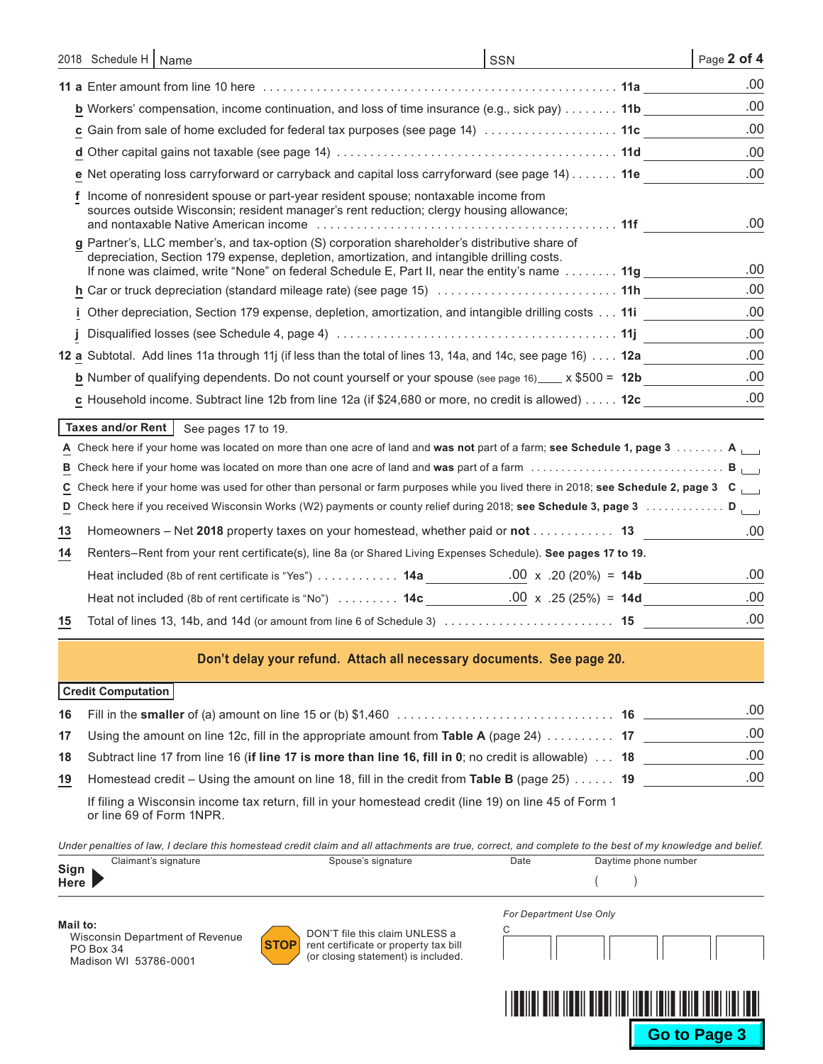|    | 2018 Schedule H   Name                                                                                                                                                                                                                                                                       | SSN | Page 2 of 4 |
|----|----------------------------------------------------------------------------------------------------------------------------------------------------------------------------------------------------------------------------------------------------------------------------------------------|-----|-------------|
|    |                                                                                                                                                                                                                                                                                              |     | .00         |
|    | <b>b</b> Workers' compensation, income continuation, and loss of time insurance (e.g., sick pay) 11b                                                                                                                                                                                         |     | .00         |
|    | c Gain from sale of home excluded for federal tax purposes (see page 14)  11c                                                                                                                                                                                                                |     | .00         |
|    |                                                                                                                                                                                                                                                                                              |     | .00.        |
|    | e Net operating loss carryforward or carryback and capital loss carryforward (see page 14) 11e                                                                                                                                                                                               |     | .00         |
|    | Income of nonresident spouse or part-year resident spouse; nontaxable income from<br>sources outside Wisconsin; resident manager's rent reduction; clergy housing allowance;                                                                                                                 |     | .00         |
|    | g Partner's, LLC member's, and tax-option (S) corporation shareholder's distributive share of<br>depreciation, Section 179 expense, depletion, amortization, and intangible drilling costs.<br>If none was claimed, write "None" on federal Schedule E, Part II, near the entity's name  11g |     | .00         |
|    | h Car or truck depreciation (standard mileage rate) (see page 15)  11h                                                                                                                                                                                                                       |     | .00         |
|    | i Other depreciation, Section 179 expense, depletion, amortization, and intangible drilling costs 11i                                                                                                                                                                                        |     | .00         |
|    |                                                                                                                                                                                                                                                                                              |     | .00         |
|    | 12 a Subtotal. Add lines 11a through 11j (if less than the total of lines 13, 14a, and 14c, see page 16) 12a                                                                                                                                                                                 |     | .00         |
|    | <b>b</b> Number of qualifying dependents. Do not count yourself or your spouse (see page 16) $\frac{1}{2}$ x \$500 = 12b                                                                                                                                                                     |     | .00         |
|    | c Household income. Subtract line 12b from line 12a (if \$24,680 or more, no credit is allowed) 12c                                                                                                                                                                                          |     | .00         |
|    | Taxes and/or Rent   See pages 17 to 19.                                                                                                                                                                                                                                                      |     |             |
| А  | Check here if your home was located on more than one acre of land and was not part of a farm; see Schedule 1, page 3 A                                                                                                                                                                       |     |             |
| в  |                                                                                                                                                                                                                                                                                              |     |             |
| C. | Check here if your home was used for other than personal or farm purposes while you lived there in 2018; see Schedule 2, page 3 $\text{C}_{\text{left}}$                                                                                                                                     |     |             |
|    | D Check here if you received Wisconsin Works (W2) payments or county relief during 2018; see Schedule 3, page 3  D                                                                                                                                                                           |     |             |
| 13 | Homeowners – Net 2018 property taxes on your homestead, whether paid or not 13                                                                                                                                                                                                               |     | .00         |
| 14 | Renters-Rent from your rent certificate(s), line 8a (or Shared Living Expenses Schedule). See pages 17 to 19.                                                                                                                                                                                |     |             |
|    |                                                                                                                                                                                                                                                                                              |     | .00         |
|    |                                                                                                                                                                                                                                                                                              |     | .00         |
| 15 |                                                                                                                                                                                                                                                                                              |     | .00         |
|    | Don't delay your refund. Attach all necessary documents. See page 20.<br><b>Credit Computation</b>                                                                                                                                                                                           |     |             |

|    |                                                                                                                                                             | .00 |
|----|-------------------------------------------------------------------------------------------------------------------------------------------------------------|-----|
| 17 | Using the amount on line 12c, fill in the appropriate amount from Table A (page 24) $\ldots \ldots \ldots$ 17                                               | .00 |
| 18 | Subtract line 17 from line 16 (if line 17 is more than line 16, fill in 0; no credit is allowable) $\dots$ 18                                               | .00 |
| 19 | Homestead credit – Using the amount on line 18, fill in the credit from Table B (page 25)  19                                                               | .00 |
|    | If $f(\mathbf{r}_n) = \mathbf{M}(\mathbf{r}_n)$ is a space for notice of $f(\mathbf{r})$ in corresponding to the dO and $f(\mathbf{r}_n)$ of $\mathbf{r}_n$ |     |

If filing a Wisconsin income tax return, fill in your homestead credit (line 19) on line 45 of Form 1 or line 69 of Form 1NPR.

*Under penalties of law, I declare this homestead credit claim and all attachments are true, correct, and complete to the best of my knowledge and belief.*

|              | Claimant's signature | Spouse's signature | Date | Daytime phone number |
|--------------|----------------------|--------------------|------|----------------------|
| Sign<br>Here |                      |                    |      |                      |

**Mail to:** Wisconsin Department of Revenue PO Box 34 Madison WI 53786-0001



DON'T file this claim UNLESS a rent certificate or property tax bill (or closing statement) is included.

| For Department Use Only |  |  |  |  |  |  |  |  |
|-------------------------|--|--|--|--|--|--|--|--|
|                         |  |  |  |  |  |  |  |  |
|                         |  |  |  |  |  |  |  |  |
|                         |  |  |  |  |  |  |  |  |

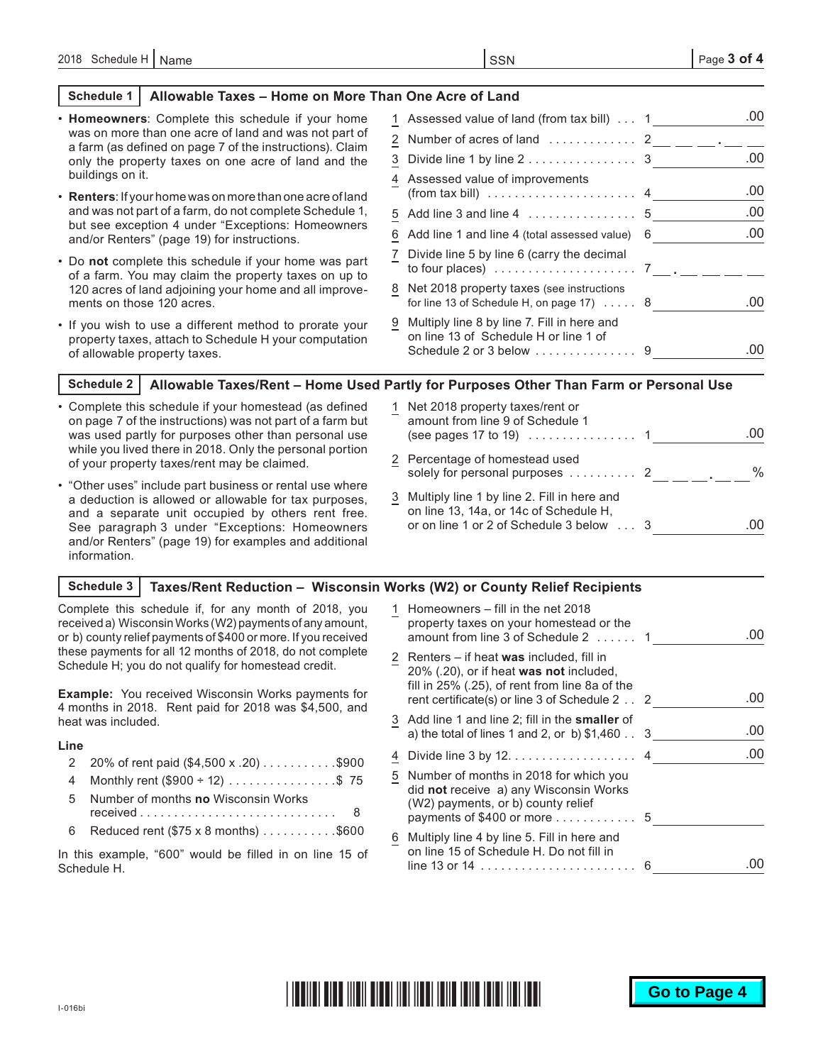### **Schedule 1 Allowable Taxes – Home on More Than One Acre of Land**

| • Homeowners: Complete this schedule if your home                                                                                                | 1 Assessed value of land (from tax bill)  1                                                                   | .00 |
|--------------------------------------------------------------------------------------------------------------------------------------------------|---------------------------------------------------------------------------------------------------------------|-----|
| was on more than one acre of land and was not part of<br>a farm (as defined on page 7 of the instructions). Claim                                | 2 Number of acres of land  2 __ __ __ . __ _                                                                  |     |
| only the property taxes on one acre of land and the                                                                                              | 3 Divide line 1 by line 2 3                                                                                   | .00 |
| buildings on it.<br><b>Renters:</b> If your home was on more than one acre of land                                                               | 4 Assessed value of improvements<br>(from tax bill) $\ldots \ldots \ldots \ldots \ldots \ldots$               | .00 |
| and was not part of a farm, do not complete Schedule 1,                                                                                          |                                                                                                               | .00 |
| but see exception 4 under "Exceptions: Homeowners<br>and/or Renters" (page 19) for instructions.                                                 | 6 Add line 1 and line 4 (total assessed value) 6                                                              | .00 |
| . Do not complete this schedule if your home was part<br>of a farm. You may claim the property taxes on up to                                    | 7 Divide line 5 by line 6 (carry the decimal<br>to four places) $\ldots \ldots \ldots \ldots \ldots \ldots$ 7 |     |
| 120 acres of land adjoining your home and all improve-<br>ments on those 120 acres.                                                              | 8 Net 2018 property taxes (see instructions<br>for line 13 of Schedule H, on page $17) \ldots$ . 8            | .00 |
| • If you wish to use a different method to prorate your<br>property taxes, attach to Schedule H your computation<br>of allowable property taxes. | 9 Multiply line 8 by line 7. Fill in here and<br>on line 13 of Schedule H or line 1 of                        | .00 |
| Schadule 2 <sub>1</sub>                                                                                                                          | Allowable Taxes/Rent - Home I lead Partly for Purnoses Other Than Farm or Personal I lse                      |     |

### **Schedule 2 Allowable Taxes/Rent – Home Used Partly for Purposes Other Than Farm or Personal Use**

- Complete this schedule if your homestead (as defined on page 7 of the instructions) was not part of a farm but was used partly for purposes other than personal use while you lived there in 2018. Only the personal portion of your property taxes/rent may be claimed.
- "Other uses" include part business or rental use where a deduction is allowed or allowable for tax purposes, and a separate unit occupied by others rent free. See paragraph 3 under "Exceptions: Homeowners and/or Renters" (page 19) for examples and additional information.
- 1 Net 2018 property taxes/rent or amount from line 9 of Schedule 1 (see pages 17 to 19)  $\ldots \ldots \ldots \ldots 1$ 2 Percentage of homestead used solely for personal purposes . . . . . . . . . . 2 \_\_ <sub>\_\_\_</sub> \_\_ . \_\_ \_% 3 Multiply line 1 by line 2. Fill in here and on line 13, 14a, or 14c of Schedule H, or on line 1 or 2 of Schedule 3 below . . 3 .00 .00

#### **Schedule 3 Taxes/Rent Reduction – Wisconsin Works (W2) or County Relief Recipients**

Complete this schedule if, for any month of 2018, you received a) Wisconsin Works (W2) payments of any amount, or b) county relief payments of \$400 or more. If you received these payments for all 12 months of 2018, do not complete Schedule H; you do not qualify for homestead credit.

**Example:** You received Wisconsin Works payments for 4 months in 2018. Rent paid for 2018 was \$4,500, and heat was included.

#### **Line**

- 2 20% of rent paid  $(\$4,500 \times .20)$ ..........\$900
- 4 Monthly rent  $(\$900 ÷ 12)$  . . . . . . . . . . . . . . \$75
- 5 Number of months **no** Wisconsin Works received. . 8 6 Reduced rent ( $$75 \times 8$  months)  $\ldots \ldots \ldots$  \$600
- In this example, "600" would be filled in on line 15 of Schedule H.

|   | Homeowners – fill in the net 2018<br>property taxes on your homestead or the<br>amount from line 3 of Schedule 2  1                                                                     | ()() |
|---|-----------------------------------------------------------------------------------------------------------------------------------------------------------------------------------------|------|
|   | 2 Renters – if heat was included, fill in<br>20% (.20), or if heat was not included,<br>fill in 25% (.25), of rent from line 8a of the<br>rent certificate(s) or line 3 of Schedule 2 2 | .00  |
|   | 3 Add line 1 and line 2; fill in the <b>smaller</b> of<br>a) the total of lines 1 and 2, or b) $$1,460$ 3                                                                               | .00  |
| 4 | Divide line $3$ by $12. \ldots \ldots \ldots \ldots \ldots$ 4                                                                                                                           | .00  |
| 5 | Number of months in 2018 for which you<br>did not receive a) any Wisconsin Works<br>(W2) payments, or b) county relief<br>payments of \$400 or more $\ldots \ldots \ldots 5$            |      |
| 6 | Multiply line 4 by line 5. Fill in here and<br>on line 15 of Schedule H. Do not fill in                                                                                                 |      |